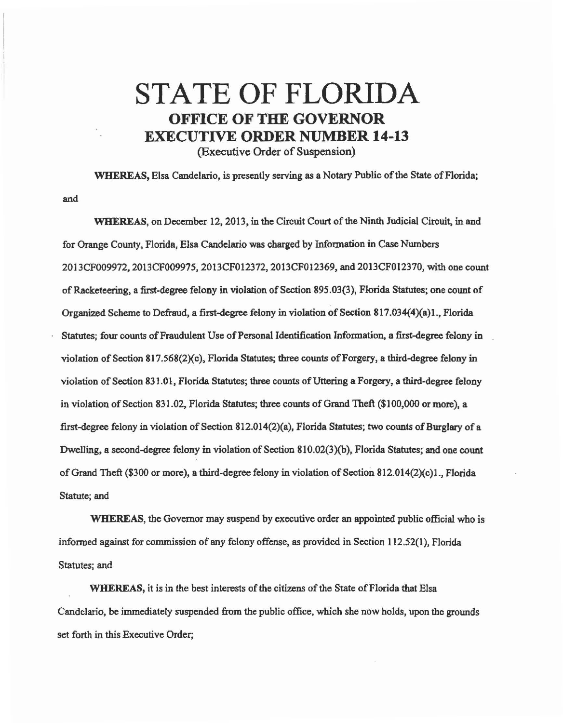## STATE OF FLORIDA OFFICE OF THE GOVERNOR EXECUTIVE ORDER NUMBER 14-13

(Executive Order of Suspension)

WHEREAS, Elsa Candelario, is presently serving as a Notary Public of the State of Florida; and

WHEREAS, on December 12, 2013, in the Circuit Court of the Ninth Judicial Circuit, in and for Orange County, Florida, Elsa Candeluio was chuged by Information in Case Numbers 2013CF009972, 2013CF009975, 2013CF012372, 2013CF012369, and 2013CFOl2370, with one count of Racketeering, a first-degree felony in violation of Section 895.03(3), Florida Statutes; one count of Organized Scheme to Defraud, a first-degree felony in violation of Section 817.034(4)(a)1., Florida Statutes; four counts of Fraudulent Use of Personal Identification Information, a first-degree felony in violation of Section 817.568( $2$ )(c), Florida Statutes; three counts of Forgery, a third-degree felony in violation of Section 831.01, Florida Statutes; three counts of Uttering a Forgery, a third-degree felony in violation of Section 831.02, Florida Statutes; three counts of Grand Theft (\$100,000 or more), a first-degree felony in violation of Section 812.014(2)(a), Florida Statutes; two counts of Burglary of a Dwelling, a second-degree felony in violation of Section 810.02(3)(b), Florida Statutes; and one count of Grand Theft (\$300 or more), a third-degree felony in violation of Section 812.014(2Xc)l., Florida Statute; and

WHEREAS, the Governor may suspend by executive order an appointed public official who is informed against for commission of any felony offense, as provided in Section 112.52(1), Florida Statutes; and

WHEREAS, it is in the best interests of the citizens of the State of Florida that Elsa Candelario, be immediately suspended from the public office, which she now holds, upon the grounds set forth in this Executive Order;